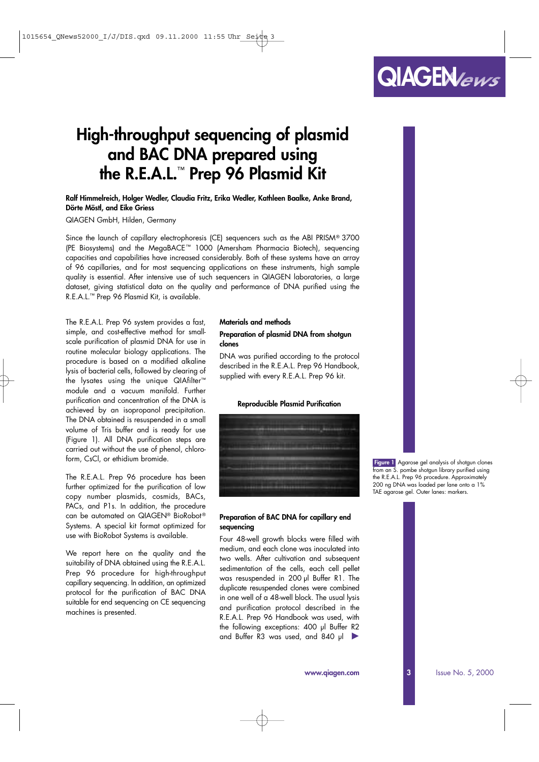# **High-throughput sequencing of plasmid and BAC DNA prepared using the R.E.A.L.**™ **Prep 96 Plasmid Kit**

**Ralf Himmelreich, Holger Wedler, Claudia Fritz, Erika Wedler, Kathleen Baalke, Anke Brand, Dörte Möstl, and Eike Griess**

QIAGEN GmbH, Hilden, Germany

*Since the launch of capillary electrophoresis (CE) sequencers such as the ABI PRISM*® *3700 (PE Biosystems) and the MegaBACE* ™ *1000 (Amersham Pharmacia Biotech), sequencing capacities and capabilities have increased considerably. Both of these systems have an array of 96 capillaries, and for most sequencing applications on these instruments, high sample quality is essential. After intensive use of such sequencers in QIAGEN laboratories, a large dataset, giving statistical data on the quality and performance of DNA purified using the R.E.A.L.*™ *Prep 96 Plasmid Kit, is available.*

The R.E.A.L. Prep 96 system provides a fast, simple, and cost-effective method for smallscale purification of plasmid DNA for use in routine molecular biology applications. The procedure is based on a modified alkaline lysis of bacterial cells, followed by clearing of the lysates using the unique QIAfilter™ module and a vacuum manifold. Further purification and concentration of the DNA is achieved by an isopropanol precipitation. The DNA obtained is resuspended in a small volume of Tris buffer and is ready for use (Figure 1). All DNA purification steps are carried out without the use of phenol, chloroform, CsCl, or ethidium bromide.

The R.E.A.L. Prep 96 procedure has been further optimized for the purification of low copy number plasmids, cosmids, BACs, PACs, and P1s. In addition, the procedure can be automated on QIAGEN® BioRobot® Systems. A special kit format optimized for use with BioRobot Systems is available.

We report here on the quality and the suitability of DNA obtained using the R.E.A.L. Prep 96 procedure for high-throughput capillary sequencing. In addition, an optimized protocol for the purification of BAC DNA suitable for end sequencing on CE sequencing machines is presented.

#### **Materials and methods**

# *Preparation of plasmid DNA from shotgun clones*

DNA was purified according to the protocol described in the *R.E.A.L. Prep 96 Handbook*, supplied with every R.E.A.L. Prep 96 kit.

#### **Reproducible Plasmid Purification**



# *Preparation of BAC DNA for capillary end sequencing*

Four 48-well growth blocks were filled with medium, and each clone was inoculated into two wells. After cultivation and subsequent sedimentation of the cells, each cell pellet was resuspended in 200 µl Buffer R1. The duplicate resuspended clones were combined in one well of a 48-well block. The usual lysis and purification protocol described in the *R.E.A.L. Prep 96 Handbook* was used, with the following exceptions: 400 µl Buffer R2 and Buffer R3 was used, and 840 µl

*Figure 1 Agarose gel analysis of shotgun clones from an* S. pombe *shotgun library purified using the R.E.A.L. Prep 96 procedure. Approximately 200 ng DNA was loaded per lane onto a 1% TAE agarose gel. Outer lanes: markers.*

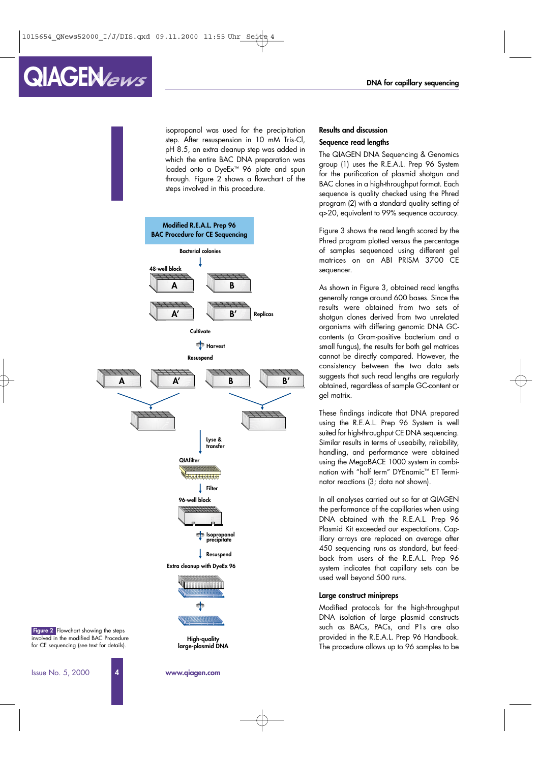# isopropanol was used for the precipitation step. After resuspension in 10 mM Tris·Cl, pH 8.5, an extra cleanup step was added in which the entire BAC DNA preparation was loaded onto a DyeEx™ 96 plate and spun through. Figure 2 shows a flowchart of the steps involved in this procedure.

**1**



**www.qiagen.com**

# **Results and discussion**

# *Sequence read lengths*

The QIAGEN DNA Sequencing & Genomics group (1) uses the R.E.A.L. Prep 96 System for the purification of plasmid shotgun and BAC clones in a high-throughput format. Each sequence is quality checked using the Phred program (2) with a standard quality setting of q>20, equivalent to 99% sequence accuracy.

Figure 3 shows the read length scored by the Phred program plotted versus the percentage of samples sequenced using different gel matrices on an ABI PRISM 3700 CE sequencer.

As shown in Figure 3, obtained read lengths generally range around 600 bases. Since the results were obtained from two sets of shotgun clones derived from two unrelated organisms with differing genomic DNA GCcontents (a Gram-positive bacterium and a small fungus), the results for both gel matrices cannot be directly compared. However, the consistency between the two data sets suggests that such read lengths are regularly obtained, regardless of sample GC-content or gel matrix.

These findings indicate that DNA prepared using the R.E.A.L. Prep 96 System is well suited for high-throughput CE DNA sequencing. Similar results in terms of useabilty, reliability, handling, and performance were obtained using the MegaBACE 1000 system in combination with "half term" DYEnamic™ ET Terminator reactions (3; data not shown).

In all analyses carried out so far at QIAGEN the performance of the capillaries when using DNA obtained with the R.E.A.L. Prep 96 Plasmid Kit exceeded our expectations. Capillary arrays are replaced on average after 450 sequencing runs as standard, but feedback from users of the R.E.A.L. Prep 96 system indicates that capillary sets can be used well beyond 500 runs.

#### **Large construct minipreps**

Modified protocols for the high-throughput DNA isolation of large plasmid constructs such as BACs, PACs, and P1s are also provided in the *R.E.A.L. Prep 96 Handbook*. The procedure allows up to 96 samples to be

Issue No. 5, 2000 **4**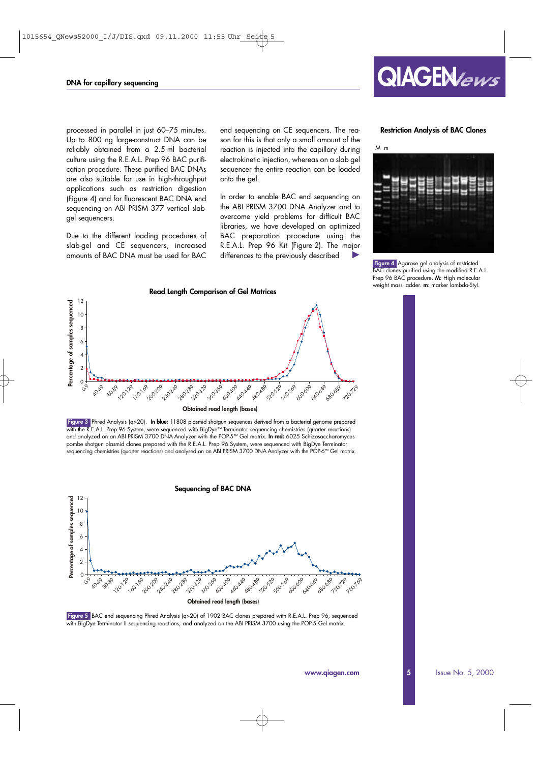

# **Restriction Analysis of BAC Clones**

processed in parallel in just 60–75 minutes. Up to 800 ng large-construct DNA can be reliably obtained from a 2.5 ml bacterial culture using the R.E.A.L. Prep 96 BAC purification procedure. These purified BAC DNAs are also suitable for use in high-throughput applications such as restriction digestion (Figure 4) and for fluorescent BAC DNA end sequencing on ABI PRISM 377 vertical slabgel sequencers.

Due to the different loading procedures of slab-gel and CE sequencers, increased amounts of BAC DNA must be used for BAC end sequencing on CE sequencers. The reason for this is that only a small amount of the reaction is injected into the capillary during electrokinetic injection, whereas on a slab gel sequencer the entire reaction can be loaded onto the gel.

In order to enable BAC end sequencing on the ABI PRISM 3700 DNA Analyzer and to overcome yield problems for difficult BAC libraries, we have developed an optimized BAC preparation procedure using the R.E.A.L. Prep 96 Kit (Figure 2). The major differences to the previously described



*Figure 4 Agarose gel analysis of restricted BAC clones purified using the modified R.E.A.L. Prep 96 BAC procedure. M: High molecular weight mass ladder. m: marker lambda-*StyI*.*



*Figure 5 BAC end sequencing Phred Analysis (q>20) of 1902 BAC clones prepared with R.E.A.L. Prep 96, sequenced with BigDye Terminator II sequencing reactions, and analyzed on the ABI PRISM 3700 using the POP-5 Gel matrix.*

**Obtained read length (bases)**